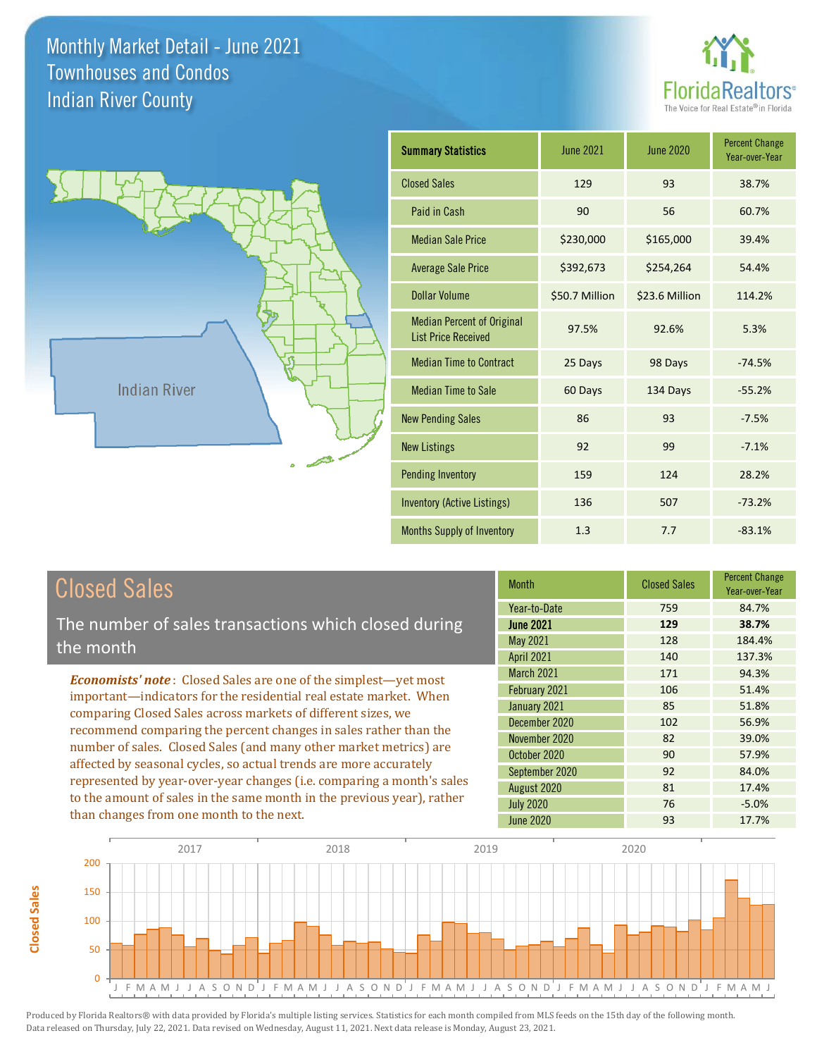



| <b>Summary Statistics</b>                                       | <b>June 2021</b> | <b>June 2020</b> | <b>Percent Change</b><br>Year-over-Year |
|-----------------------------------------------------------------|------------------|------------------|-----------------------------------------|
| <b>Closed Sales</b>                                             | 129              | 93               | 38.7%                                   |
| Paid in Cash                                                    | 90               | 56               | 60.7%                                   |
| <b>Median Sale Price</b>                                        | \$230,000        | \$165,000        | 39.4%                                   |
| <b>Average Sale Price</b>                                       | \$392,673        | \$254,264        | 54.4%                                   |
| <b>Dollar Volume</b>                                            | \$50.7 Million   | \$23.6 Million   | 114.2%                                  |
| <b>Median Percent of Original</b><br><b>List Price Received</b> | 97.5%            | 92.6%            | 5.3%                                    |
| <b>Median Time to Contract</b>                                  | 25 Days          | 98 Days          | $-74.5%$                                |
| <b>Median Time to Sale</b>                                      | 60 Days          | 134 Days         | $-55.2%$                                |
| <b>New Pending Sales</b>                                        | 86               | 93               | $-7.5%$                                 |
| <b>New Listings</b>                                             | 92               | 99               | $-7.1%$                                 |
| <b>Pending Inventory</b>                                        | 159              | 124              | 28.2%                                   |
| <b>Inventory (Active Listings)</b>                              | 136              | 507              | $-73.2%$                                |
| Months Supply of Inventory                                      | 1.3              | 7.7              | $-83.1%$                                |

## Closed Sales

**Closed Sales**

**Closed Sales** 

The number of sales transactions which closed during the month

*Economists' note* : Closed Sales are one of the simplest—yet most important—indicators for the residential real estate market. When comparing Closed Sales across markets of different sizes, we recommend comparing the percent changes in sales rather than the number of sales. Closed Sales (and many other market metrics) are affected by seasonal cycles, so actual trends are more accurately represented by year-over-year changes (i.e. comparing a month's sales to the amount of sales in the same month in the previous year), rather than changes from one month to the next.

| <b>Month</b>      | <b>Closed Sales</b> | <b>Percent Change</b><br>Year-over-Year |
|-------------------|---------------------|-----------------------------------------|
| Year-to-Date      | 759                 | 84.7%                                   |
| <b>June 2021</b>  | 129                 | 38.7%                                   |
| May 2021          | 128                 | 184.4%                                  |
| <b>April 2021</b> | 140                 | 137.3%                                  |
| March 2021        | 171                 | 94.3%                                   |
| February 2021     | 106                 | 51.4%                                   |
| January 2021      | 85                  | 51.8%                                   |
| December 2020     | 102                 | 56.9%                                   |
| November 2020     | 82                  | 39.0%                                   |
| October 2020      | 90                  | 57.9%                                   |
| September 2020    | 92                  | 84.0%                                   |
| August 2020       | 81                  | 17.4%                                   |
| <b>July 2020</b>  | 76                  | $-5.0%$                                 |
| <b>June 2020</b>  | 93                  | 17.7%                                   |

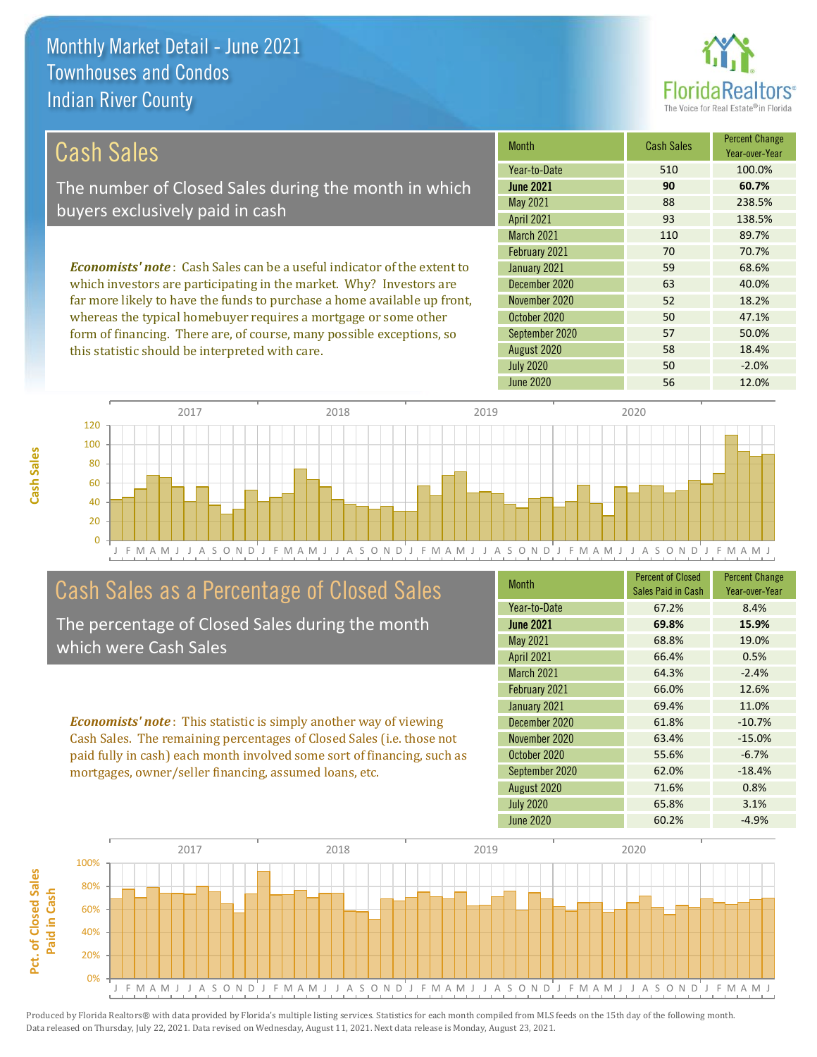

| Cash Sales                                                                     | <b>Month</b>      | <b>Cash Sales</b> | <b>Percent Change</b><br>Year-over-Year |
|--------------------------------------------------------------------------------|-------------------|-------------------|-----------------------------------------|
|                                                                                | Year-to-Date      | 510               | 100.0%                                  |
| The number of Closed Sales during the month in which                           | <b>June 2021</b>  | 90                | 60.7%                                   |
| buyers exclusively paid in cash                                                | May 2021          | 88                | 238.5%                                  |
|                                                                                | <b>April 2021</b> | 93                | 138.5%                                  |
|                                                                                | <b>March 2021</b> | 110               | 89.7%                                   |
|                                                                                | February 2021     | 70                | 70.7%                                   |
| <b>Economists' note:</b> Cash Sales can be a useful indicator of the extent to | January 2021      | 59                | 68.6%                                   |
| which investors are participating in the market. Why? Investors are            | December 2020     | 63                | 40.0%                                   |
| far more likely to have the funds to purchase a home available up front,       | November 2020     | 52                | 18.2%                                   |

whereas the typical homebuyer requires a mortgage or some other form of financing. There are, of course, many possible exceptions, so this statistic should be interpreted with care.

|                   |     | Year-over-Year |
|-------------------|-----|----------------|
| Year-to-Date      | 510 | 100.0%         |
| <b>June 2021</b>  | 90  | 60.7%          |
| May 2021          | 88  | 238.5%         |
| <b>April 2021</b> | 93  | 138.5%         |
| March 2021        | 110 | 89.7%          |
| February 2021     | 70  | 70.7%          |
| January 2021      | 59  | 68.6%          |
| December 2020     | 63  | 40.0%          |
| November 2020     | 52  | 18.2%          |
| October 2020      | 50  | 47.1%          |
| September 2020    | 57  | 50.0%          |
| August 2020       | 58  | 18.4%          |
| <b>July 2020</b>  | 50  | $-2.0%$        |
| <b>June 2020</b>  | 56  | 12.0%          |



## Cash Sales as a Percentage of Closed Sales

The percentage of Closed Sales during the month which were Cash Sales

*Economists' note* : This statistic is simply another way of viewing Cash Sales. The remaining percentages of Closed Sales (i.e. those not paid fully in cash) each month involved some sort of financing, such as mortgages, owner/seller financing, assumed loans, etc.

| <b>Month</b>      | <b>Percent of Closed</b><br>Sales Paid in Cash | <b>Percent Change</b><br>Year-over-Year |
|-------------------|------------------------------------------------|-----------------------------------------|
| Year-to-Date      | 67.2%                                          | 8.4%                                    |
| <b>June 2021</b>  | 69.8%                                          | 15.9%                                   |
| May 2021          | 68.8%                                          | 19.0%                                   |
| <b>April 2021</b> | 66.4%                                          | 0.5%                                    |
| <b>March 2021</b> | 64.3%                                          | $-2.4%$                                 |
| February 2021     | 66.0%                                          | 12.6%                                   |
| January 2021      | 69.4%                                          | 11.0%                                   |
| December 2020     | 61.8%                                          | $-10.7%$                                |
| November 2020     | 63.4%                                          | $-15.0%$                                |
| October 2020      | 55.6%                                          | $-6.7%$                                 |
| September 2020    | 62.0%                                          | $-18.4%$                                |
| August 2020       | 71.6%                                          | 0.8%                                    |
| <b>July 2020</b>  | 65.8%                                          | 3.1%                                    |
| June 2020         | 60.2%                                          | $-4.9%$                                 |

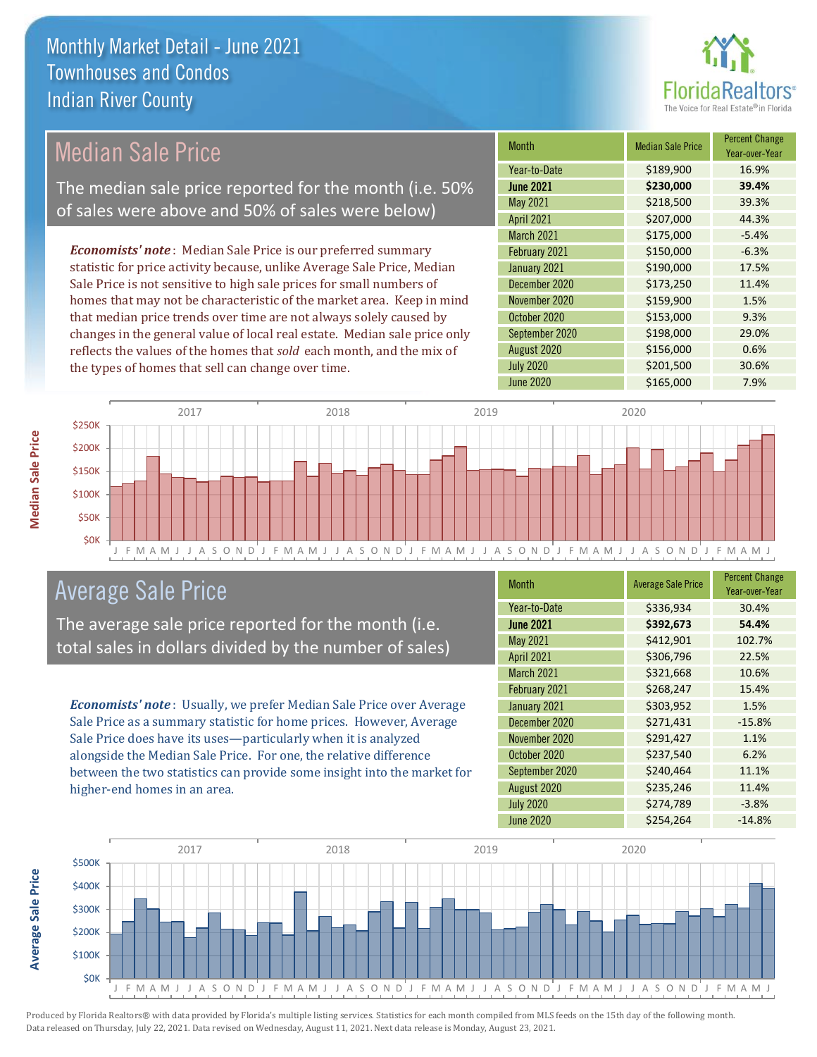

## Median Sale Price

The median sale price reported for the month (i.e. 50% of sales were above and 50% of sales were below)

*Economists' note* : Median Sale Price is our preferred summary statistic for price activity because, unlike Average Sale Price, Median Sale Price is not sensitive to high sale prices for small numbers of homes that may not be characteristic of the market area. Keep in mind that median price trends over time are not always solely caused by changes in the general value of local real estate. Median sale price only reflects the values of the homes that *sold* each month, and the mix of the types of homes that sell can change over time.

| Month             | <b>Median Sale Price</b> | <b>Percent Change</b><br>Year-over-Year |
|-------------------|--------------------------|-----------------------------------------|
| Year-to-Date      | \$189,900                | 16.9%                                   |
| <b>June 2021</b>  | \$230,000                | 39.4%                                   |
| May 2021          | \$218,500                | 39.3%                                   |
| <b>April 2021</b> | \$207,000                | 44.3%                                   |
| March 2021        | \$175,000                | $-5.4%$                                 |
| February 2021     | \$150,000                | $-6.3%$                                 |
| January 2021      | \$190,000                | 17.5%                                   |
| December 2020     | \$173,250                | 11.4%                                   |
| November 2020     | \$159,900                | 1.5%                                    |
| October 2020      | \$153,000                | 9.3%                                    |
| September 2020    | \$198,000                | 29.0%                                   |
| August 2020       | \$156,000                | 0.6%                                    |
| <b>July 2020</b>  | \$201,500                | 30.6%                                   |
| <b>June 2020</b>  | \$165,000                | 7.9%                                    |



### Average Sale Price

The average sale price reported for the month (i.e. total sales in dollars divided by the number of sales)

*Economists' note* : Usually, we prefer Median Sale Price over Average Sale Price as a summary statistic for home prices. However, Average Sale Price does have its uses—particularly when it is analyzed alongside the Median Sale Price. For one, the relative difference between the two statistics can provide some insight into the market for higher-end homes in an area.

| <b>Month</b>      | <b>Average Sale Price</b> | <b>Percent Change</b><br>Year-over-Year |
|-------------------|---------------------------|-----------------------------------------|
| Year-to-Date      | \$336,934                 | 30.4%                                   |
| <b>June 2021</b>  | \$392,673                 | 54.4%                                   |
| May 2021          | \$412,901                 | 102.7%                                  |
| <b>April 2021</b> | \$306,796                 | 22.5%                                   |
| <b>March 2021</b> | \$321,668                 | 10.6%                                   |
| February 2021     | \$268,247                 | 15.4%                                   |
| January 2021      | \$303,952                 | 1.5%                                    |
| December 2020     | \$271,431                 | $-15.8%$                                |
| November 2020     | \$291,427                 | 1.1%                                    |
| October 2020      | \$237,540                 | 6.2%                                    |
| September 2020    | \$240,464                 | 11.1%                                   |
| August 2020       | \$235,246                 | 11.4%                                   |
| <b>July 2020</b>  | \$274,789                 | $-3.8%$                                 |
| <b>June 2020</b>  | \$254,264                 | $-14.8%$                                |



Produced by Florida Realtors® with data provided by Florida's multiple listing services. Statistics for each month compiled from MLS feeds on the 15th day of the following month. Data released on Thursday, July 22, 2021. Data revised on Wednesday, August 11, 2021. Next data release is Monday, August 23, 2021.

**Average Sale Price**

**Average Sale Price**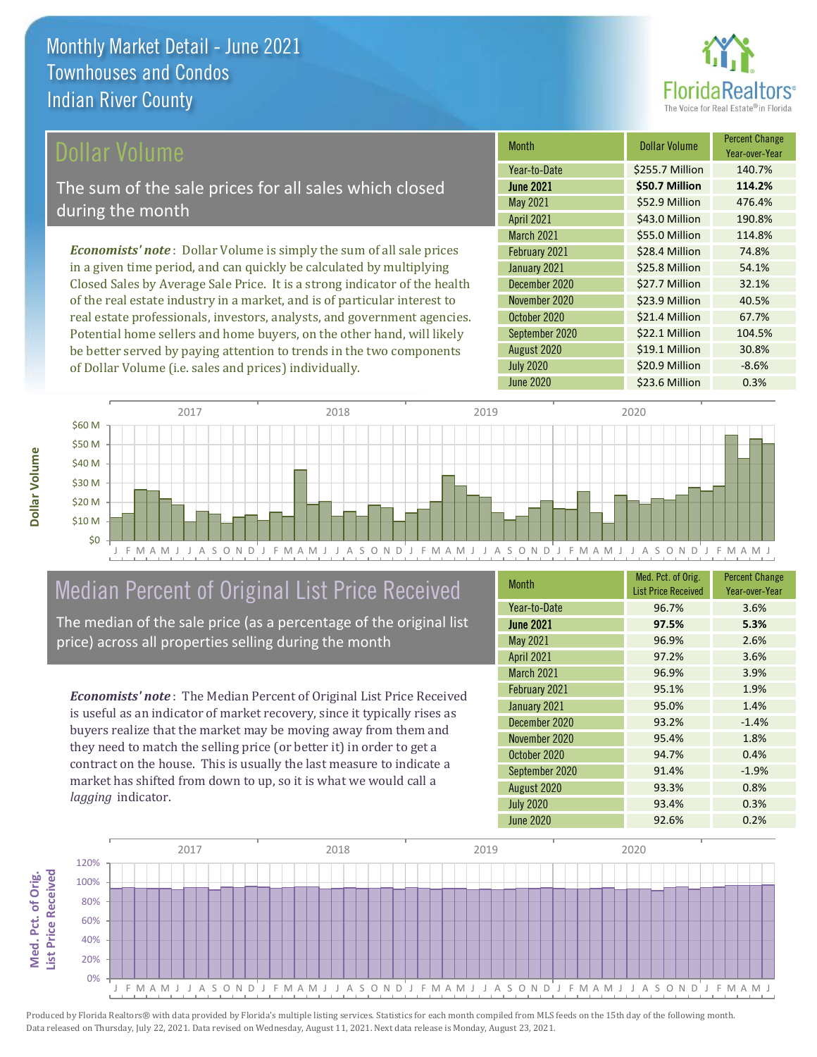

### ollar Volume

The sum of the sale prices for all sales which closed during the month

*Economists' note* : Dollar Volume is simply the sum of all sale prices in a given time period, and can quickly be calculated by multiplying Closed Sales by Average Sale Price. It is a strong indicator of the health of the real estate industry in a market, and is of particular interest to real estate professionals, investors, analysts, and government agencies. Potential home sellers and home buyers, on the other hand, will likely be better served by paying attention to trends in the two components of Dollar Volume (i.e. sales and prices) individually.

| <b>Month</b>      | <b>Dollar Volume</b> | <b>Percent Change</b><br>Year-over-Year |
|-------------------|----------------------|-----------------------------------------|
| Year-to-Date      | \$255.7 Million      | 140.7%                                  |
| <b>June 2021</b>  | \$50.7 Million       | 114.2%                                  |
| May 2021          | \$52.9 Million       | 476.4%                                  |
| <b>April 2021</b> | \$43.0 Million       | 190.8%                                  |
| March 2021        | \$55.0 Million       | 114.8%                                  |
| February 2021     | \$28.4 Million       | 74.8%                                   |
| January 2021      | \$25.8 Million       | 54.1%                                   |
| December 2020     | \$27.7 Million       | 32.1%                                   |
| November 2020     | \$23.9 Million       | 40.5%                                   |
| October 2020      | \$21.4 Million       | 67.7%                                   |
| September 2020    | \$22.1 Million       | 104.5%                                  |
| August 2020       | \$19.1 Million       | 30.8%                                   |
| <b>July 2020</b>  | \$20.9 Million       | $-8.6%$                                 |
| <b>June 2020</b>  | \$23.6 Million       | 0.3%                                    |



## Median Percent of Original List Price Received

The median of the sale price (as a percentage of the original list price) across all properties selling during the month

*Economists' note* : The Median Percent of Original List Price Received is useful as an indicator of market recovery, since it typically rises as buyers realize that the market may be moving away from them and they need to match the selling price (or better it) in order to get a contract on the house. This is usually the last measure to indicate a market has shifted from down to up, so it is what we would call a *lagging* indicator.

| <b>Month</b>      | Med. Pct. of Orig.<br><b>List Price Received</b> | <b>Percent Change</b><br>Year-over-Year |
|-------------------|--------------------------------------------------|-----------------------------------------|
| Year-to-Date      | 96.7%                                            | 3.6%                                    |
| <b>June 2021</b>  | 97.5%                                            | 5.3%                                    |
| <b>May 2021</b>   | 96.9%                                            | 2.6%                                    |
| April 2021        | 97.2%                                            | 3.6%                                    |
| <b>March 2021</b> | 96.9%                                            | 3.9%                                    |
| February 2021     | 95.1%                                            | 1.9%                                    |
| January 2021      | 95.0%                                            | 1.4%                                    |
| December 2020     | 93.2%                                            | $-1.4%$                                 |
| November 2020     | 95.4%                                            | 1.8%                                    |
| October 2020      | 94.7%                                            | 0.4%                                    |
| September 2020    | 91.4%                                            | $-1.9%$                                 |
| August 2020       | 93.3%                                            | 0.8%                                    |
| <b>July 2020</b>  | 93.4%                                            | 0.3%                                    |
| June 2020         | 92.6%                                            | 0.2%                                    |

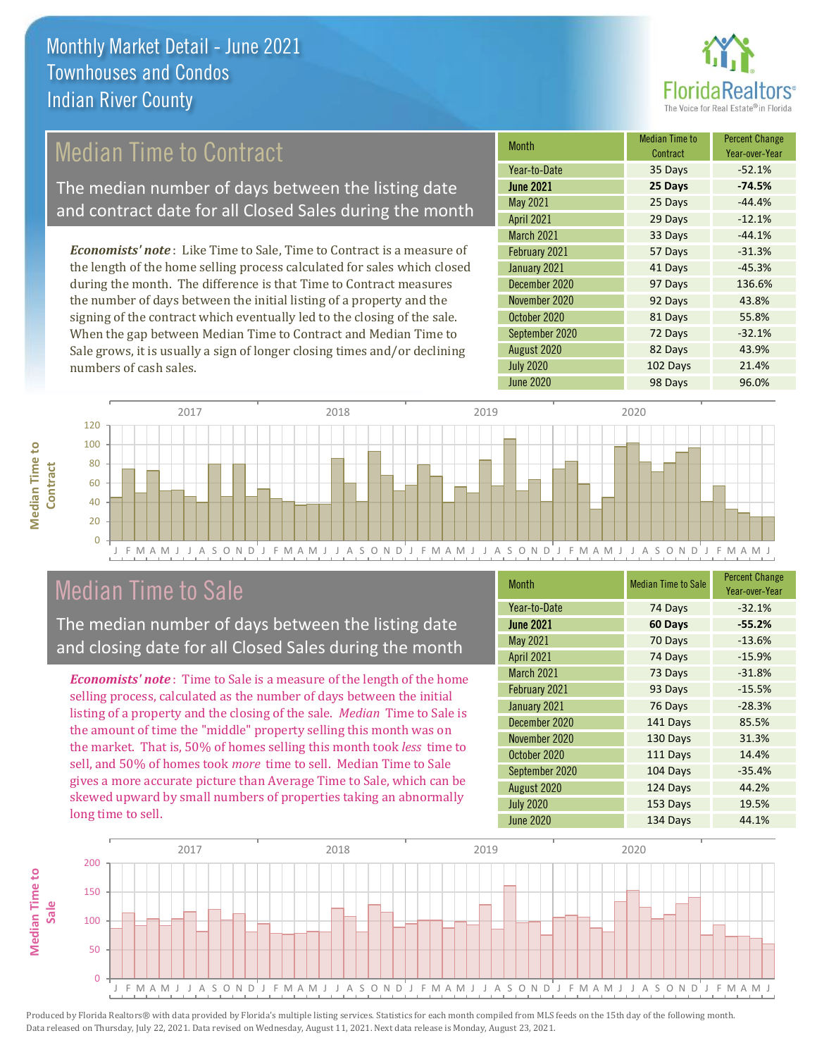

## Median Time to Contract

The median number of days between the listing date and contract date for all Closed Sales during the month

*Economists' note* : Like Time to Sale, Time to Contract is a measure of the length of the home selling process calculated for sales which closed during the month. The difference is that Time to Contract measures the number of days between the initial listing of a property and the signing of the contract which eventually led to the closing of the sale. When the gap between Median Time to Contract and Median Time to Sale grows, it is usually a sign of longer closing times and/or declining numbers of cash sales.

| Month             | <b>Median Time to</b><br>Contract | <b>Percent Change</b><br>Year-over-Year |
|-------------------|-----------------------------------|-----------------------------------------|
| Year-to-Date      | 35 Days                           | $-52.1%$                                |
| <b>June 2021</b>  | 25 Days                           | $-74.5%$                                |
| May 2021          | 25 Days                           | $-44.4%$                                |
| <b>April 2021</b> | 29 Days                           | $-12.1%$                                |
| March 2021        | 33 Days                           | $-44.1%$                                |
| February 2021     | 57 Days                           | $-31.3%$                                |
| January 2021      | 41 Days                           | $-45.3%$                                |
| December 2020     | 97 Days                           | 136.6%                                  |
| November 2020     | 92 Days                           | 43.8%                                   |
| October 2020      | 81 Days                           | 55.8%                                   |
| September 2020    | 72 Days                           | $-32.1%$                                |
| August 2020       | 82 Days                           | 43.9%                                   |
| <b>July 2020</b>  | 102 Days                          | 21.4%                                   |
| <b>June 2020</b>  | 98 Days                           | 96.0%                                   |



### Median Time to Sale

**Median Time to Contract**

**Median Time to** 

The median number of days between the listing date and closing date for all Closed Sales during the month

*Economists' note* : Time to Sale is a measure of the length of the home selling process, calculated as the number of days between the initial listing of a property and the closing of the sale. *Median* Time to Sale is the amount of time the "middle" property selling this month was on the market. That is, 50% of homes selling this month took *less* time to sell, and 50% of homes took *more* time to sell. Median Time to Sale gives a more accurate picture than Average Time to Sale, which can be skewed upward by small numbers of properties taking an abnormally long time to sell.

| <b>Month</b>      | <b>Median Time to Sale</b> | <b>Percent Change</b><br>Year-over-Year |
|-------------------|----------------------------|-----------------------------------------|
| Year-to-Date      | 74 Days                    | $-32.1%$                                |
| <b>June 2021</b>  | 60 Days                    | $-55.2%$                                |
| May 2021          | 70 Days                    | $-13.6%$                                |
| <b>April 2021</b> | 74 Days                    | $-15.9%$                                |
| <b>March 2021</b> | 73 Days                    | $-31.8%$                                |
| February 2021     | 93 Days                    | $-15.5%$                                |
| January 2021      | 76 Days                    | $-28.3%$                                |
| December 2020     | 141 Days                   | 85.5%                                   |
| November 2020     | 130 Days                   | 31.3%                                   |
| October 2020      | 111 Days                   | 14.4%                                   |
| September 2020    | 104 Days                   | $-35.4%$                                |
| August 2020       | 124 Days                   | 44.2%                                   |
| <b>July 2020</b>  | 153 Days                   | 19.5%                                   |
| June 2020         | 134 Days                   | 44.1%                                   |

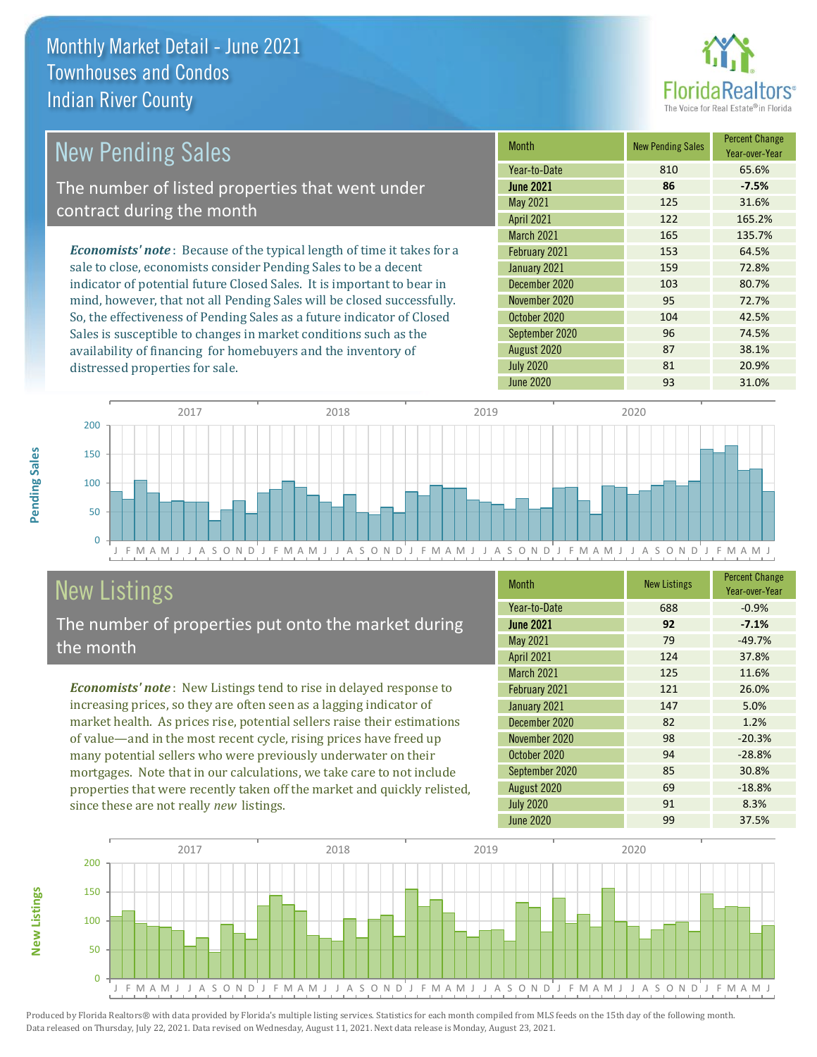distressed properties for sale.



#### *Economists' note* : Because of the typical length of time it takes for a sale to close, economists consider Pending Sales to be a decent indicator of potential future Closed Sales. It is important to bear in mind, however, that not all Pending Sales will be closed successfully. So, the effectiveness of Pending Sales as a future indicator of Closed Month New Pending Sales Percent Change Year-over-Year June 2021 **86 -7.5%** Year-to-Date 810 65.6% November 2020 **95** 72.7% May 2021 125 31.6% April 2021 122 165.2% January 2021 159 72.8% December 2020 103 103 80.7% March 2021 165 135.7% February 2021 153 64.5% October 2020 104 104 42.5% September 2020 96 74.5% New Pending Sales The number of listed properties that went under contract during the month

J F M A M J J A S O N D J F M A M J J A S O N D J F M A M J J A S O N D J F M A M J J A S O N D J F M A M J  $\Omega$ 50 100 150 200 2017 2018 2019 2020

## New Listings

The number of properties put onto the market during the month

Sales is susceptible to changes in market conditions such as the availability of financing for homebuyers and the inventory of

*Economists' note* : New Listings tend to rise in delayed response to increasing prices, so they are often seen as a lagging indicator of market health. As prices rise, potential sellers raise their estimations of value—and in the most recent cycle, rising prices have freed up many potential sellers who were previously underwater on their mortgages. Note that in our calculations, we take care to not include properties that were recently taken off the market and quickly relisted, since these are not really *new* listings.

| <b>Month</b>     | <b>New Listings</b> | <b>Percent Change</b><br>Year-over-Year |
|------------------|---------------------|-----------------------------------------|
| Year-to-Date     | 688                 | $-0.9%$                                 |
| <b>June 2021</b> | 92                  | $-7.1%$                                 |
| May 2021         | 79                  | $-49.7%$                                |
| April 2021       | 124                 | 37.8%                                   |
| March 2021       | 125                 | 11.6%                                   |
| February 2021    | 121                 | 26.0%                                   |
| January 2021     | 147                 | 5.0%                                    |
| December 2020    | 82                  | 1.2%                                    |
| November 2020    | 98                  | $-20.3%$                                |
| October 2020     | 94                  | $-28.8%$                                |
| September 2020   | 85                  | 30.8%                                   |
| August 2020      | 69                  | $-18.8%$                                |
| <b>July 2020</b> | 91                  | 8.3%                                    |
| <b>June 2020</b> | 99                  | 37.5%                                   |

August 2020 **87** 38.1% July 2020 81 20.9% June 2020 93 31.0%



Produced by Florida Realtors® with data provided by Florida's multiple listing services. Statistics for each month compiled from MLS feeds on the 15th day of the following month. Data released on Thursday, July 22, 2021. Data revised on Wednesday, August 11, 2021. Next data release is Monday, August 23, 2021.

**New Listings**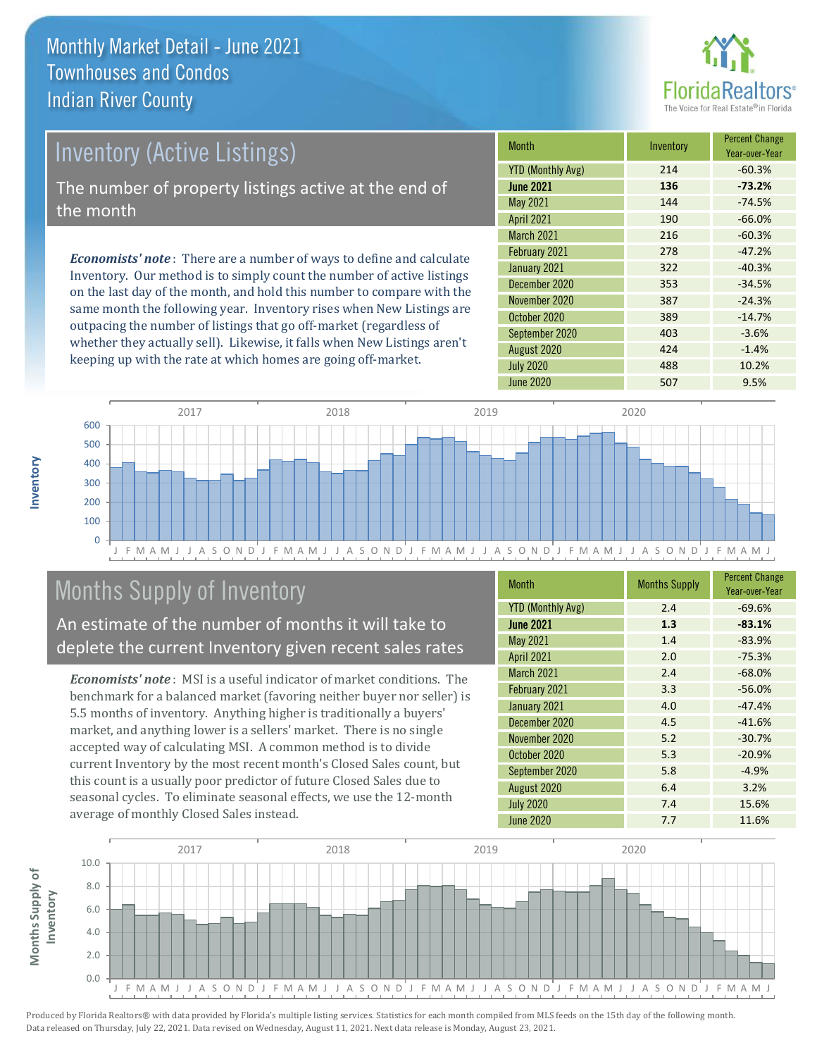

## Inventory (Active Listings)

The number of property listings active at the end of the month

*Economists' note* : There are a number of ways to define and calculate Inventory. Our method is to simply count the number of active listings on the last day of the month, and hold this number to compare with the same month the following year. Inventory rises when New Listings are outpacing the number of listings that go off-market (regardless of whether they actually sell). Likewise, it falls when New Listings aren't keeping up with the rate at which homes are going off-market.

| <b>Month</b>             | Inventory | <b>Percent Change</b><br>Year-over-Year |
|--------------------------|-----------|-----------------------------------------|
| <b>YTD (Monthly Avg)</b> | 214       | $-60.3%$                                |
| <b>June 2021</b>         | 136       | $-73.2%$                                |
| May 2021                 | 144       | $-74.5%$                                |
| <b>April 2021</b>        | 190       | $-66.0%$                                |
| <b>March 2021</b>        | 216       | $-60.3%$                                |
| February 2021            | 278       | $-47.2%$                                |
| January 2021             | 322       | $-40.3%$                                |
| December 2020            | 353       | $-34.5%$                                |
| November 2020            | 387       | $-24.3%$                                |
| October 2020             | 389       | $-14.7%$                                |
| September 2020           | 403       | $-3.6%$                                 |
| August 2020              | 424       | $-1.4%$                                 |
| <b>July 2020</b>         | 488       | 10.2%                                   |
| June 2020                | 507       | 9.5%                                    |



## Months Supply of Inventory

An estimate of the number of months it will take to deplete the current Inventory given recent sales rates

*Economists' note* : MSI is a useful indicator of market conditions. The benchmark for a balanced market (favoring neither buyer nor seller) is 5.5 months of inventory. Anything higher is traditionally a buyers' market, and anything lower is a sellers' market. There is no single accepted way of calculating MSI. A common method is to divide current Inventory by the most recent month's Closed Sales count, but this count is a usually poor predictor of future Closed Sales due to seasonal cycles. To eliminate seasonal effects, we use the 12-month average of monthly Closed Sales instead.

| <b>Month</b>             | <b>Months Supply</b> | <b>Percent Change</b><br>Year-over-Year |
|--------------------------|----------------------|-----------------------------------------|
| <b>YTD (Monthly Avg)</b> | 2.4                  | $-69.6%$                                |
| <b>June 2021</b>         | 1.3                  | $-83.1%$                                |
| <b>May 2021</b>          | 1.4                  | $-83.9%$                                |
| <b>April 2021</b>        | 2.0                  | $-75.3%$                                |
| March 2021               | 2.4                  | $-68.0%$                                |
| February 2021            | 3.3                  | $-56.0%$                                |
| January 2021             | 4.0                  | $-47.4%$                                |
| December 2020            | 4.5                  | $-41.6%$                                |
| November 2020            | 5.2                  | $-30.7%$                                |
| October 2020             | 5.3                  | $-20.9%$                                |
| September 2020           | 5.8                  | $-4.9%$                                 |
| August 2020              | 6.4                  | 3.2%                                    |
| <b>July 2020</b>         | 7.4                  | 15.6%                                   |
| June 2020                | 7.7                  | 11.6%                                   |

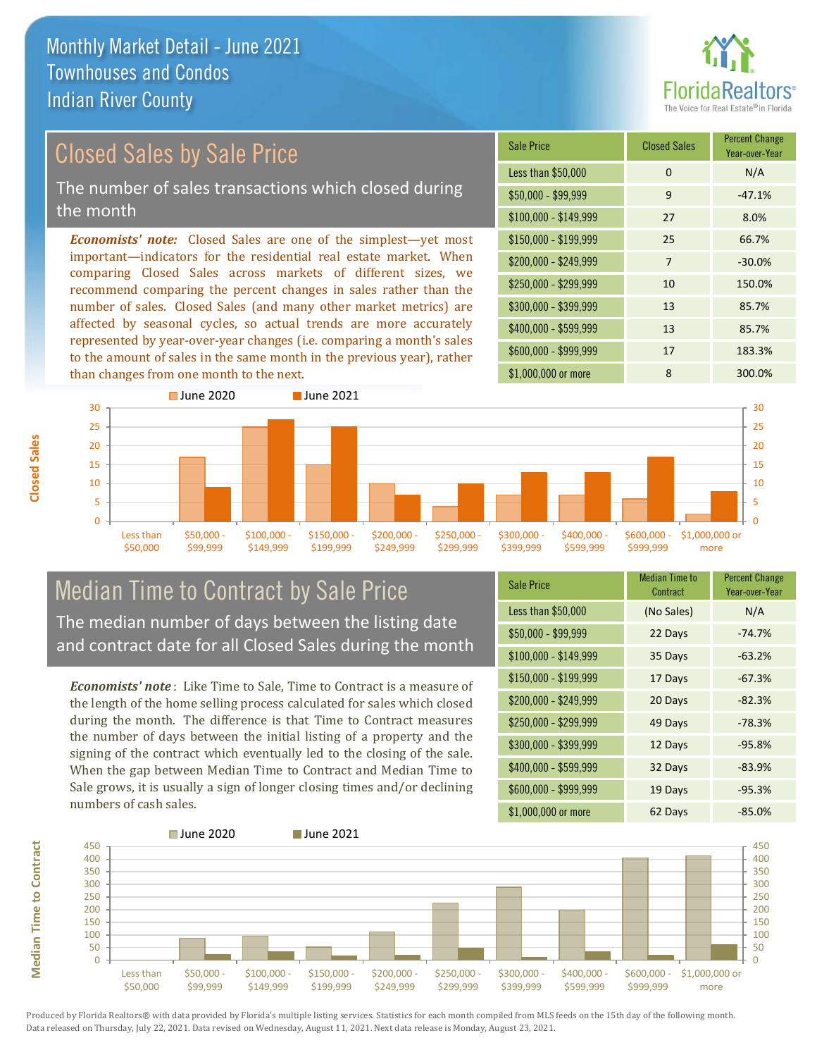

## Closed Sales by Sale Price

The number of sales transactions which closed during the month

*Economists' note:* Closed Sales are one of the simplest—yet most important—indicators for the residential real estate market. When comparing Closed Sales across markets of different sizes, we recommend comparing the percent changes in sales rather than the number of sales. Closed Sales (and many other market metrics) are affected by seasonal cycles, so actual trends are more accurately represented by year-over-year changes (i.e. comparing a month's sales to the amount of sales in the same month in the previous year), rather than changes from one month to the next.





### Median Time to Contract by Sale Price The median number of days between the listing date and contract date for all Closed Sales during the month

*Economists' note* : Like Time to Sale, Time to Contract is a measure of the length of the home selling process calculated for sales which closed during the month. The difference is that Time to Contract measures the number of days between the initial listing of a property and the signing of the contract which eventually led to the closing of the sale. When the gap between Median Time to Contract and Median Time to Sale grows, it is usually a sign of longer closing times and/or declining numbers of cash sales.

| <b>Sale Price</b>     | <b>Median Time to</b><br>Contract | <b>Percent Change</b><br>Year-over-Year |
|-----------------------|-----------------------------------|-----------------------------------------|
| Less than \$50,000    | (No Sales)                        | N/A                                     |
| $$50,000 - $99,999$   | 22 Days                           | $-74.7%$                                |
| $$100,000 - $149,999$ | 35 Days                           | $-63.2%$                                |
| $$150,000 - $199,999$ | 17 Days                           | $-67.3%$                                |
| \$200,000 - \$249,999 | 20 Days                           | $-82.3%$                                |
| \$250,000 - \$299,999 | 49 Days                           | $-78.3%$                                |
| \$300,000 - \$399,999 | 12 Days                           | $-95.8%$                                |
| \$400,000 - \$599,999 | 32 Days                           | $-83.9%$                                |
| \$600,000 - \$999,999 | 19 Days                           | $-95.3%$                                |
| \$1,000,000 or more   | 62 Days                           | -85.0%                                  |



Produced by Florida Realtors® with data provided by Florida's multiple listing services. Statistics for each month compiled from MLS feeds on the 15th day of the following month. Data released on Thursday, July 22, 2021. Data revised on Wednesday, August 11, 2021. Next data release is Monday, August 23, 2021.

**Median Time to Contract**

**Median Time to Contract**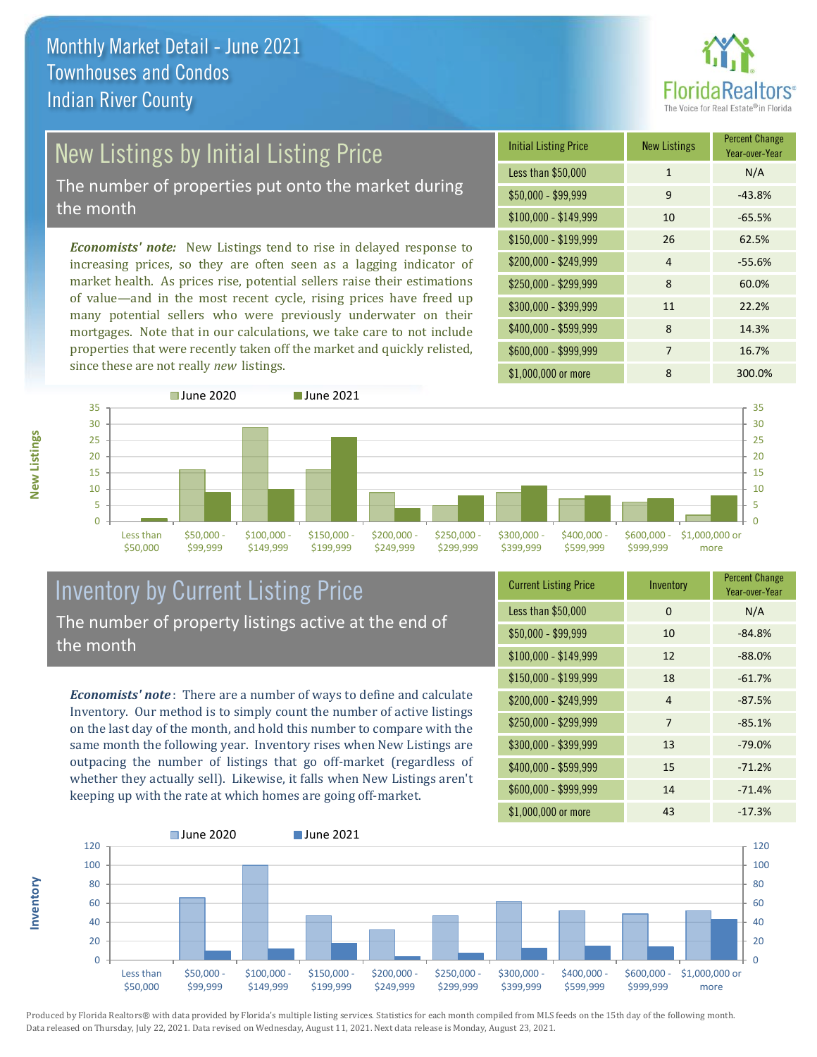

# New Listings by Initial Listing Price

The number of properties put onto the market during the month

*Economists' note:* New Listings tend to rise in delayed response to increasing prices, so they are often seen as a lagging indicator of market health. As prices rise, potential sellers raise their estimations of value—and in the most recent cycle, rising prices have freed up many potential sellers who were previously underwater on their mortgages. Note that in our calculations, we take care to not include properties that were recently taken off the market and quickly relisted, since these are not really *new* listings.





### Inventory by Current Listing Price The number of property listings active at the end of the month

*Economists' note* : There are a number of ways to define and calculate Inventory. Our method is to simply count the number of active listings on the last day of the month, and hold this number to compare with the same month the following year. Inventory rises when New Listings are outpacing the number of listings that go off-market (regardless of whether they actually sell). Likewise, it falls when New Listings aren't keeping up with the rate at which homes are going off-market.

| <b>Current Listing Price</b> | Inventory      | <b>Percent Change</b><br>Year-over-Year |
|------------------------------|----------------|-----------------------------------------|
| Less than \$50,000           | 0              | N/A                                     |
| $$50,000 - $99,999$          | 10             | $-84.8%$                                |
| $$100,000 - $149,999$        | 12             | $-88.0%$                                |
| $$150,000 - $199,999$        | 18             | $-61.7%$                                |
| \$200,000 - \$249,999        | $\overline{4}$ | $-87.5%$                                |
| \$250,000 - \$299,999        | 7              | $-85.1%$                                |
| \$300,000 - \$399,999        | 13             | $-79.0%$                                |
| \$400,000 - \$599,999        | 15             | $-71.2%$                                |
| \$600,000 - \$999,999        | 14             | $-71.4%$                                |
| \$1,000,000 or more          | 43             | $-17.3%$                                |



Produced by Florida Realtors® with data provided by Florida's multiple listing services. Statistics for each month compiled from MLS feeds on the 15th day of the following month. Data released on Thursday, July 22, 2021. Data revised on Wednesday, August 11, 2021. Next data release is Monday, August 23, 2021.

**Inventory**